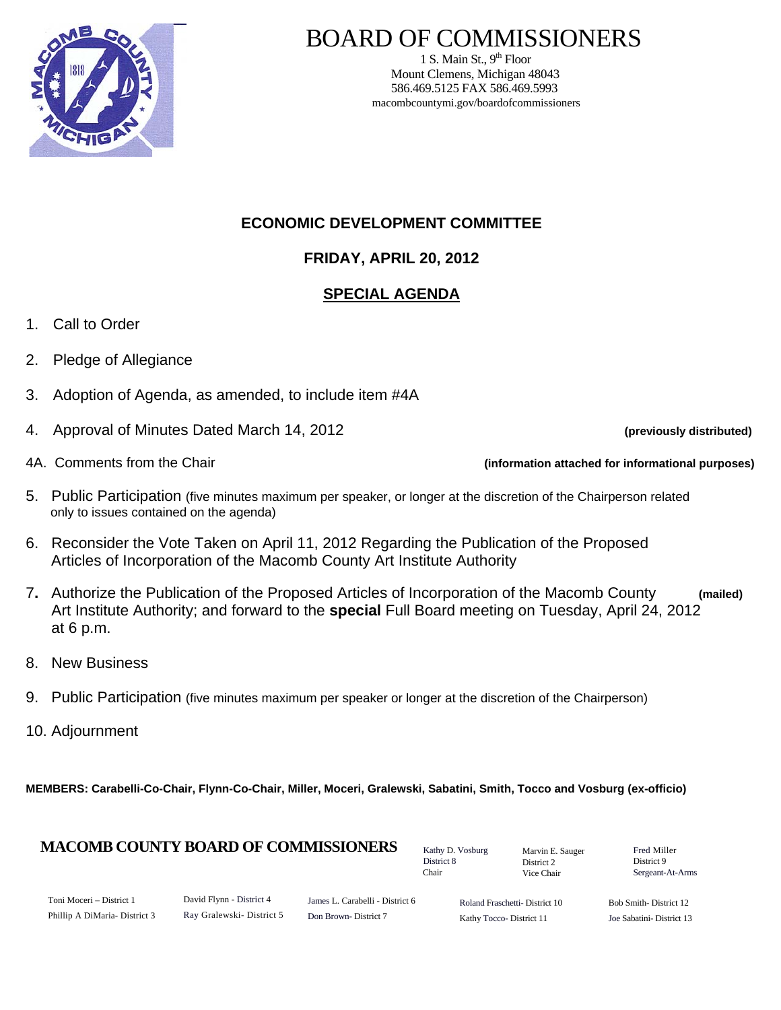

# BOARD OF COMMISSIONERS

1 S. Main St.,  $9<sup>th</sup>$  Floor Mount Clemens, Michigan 48043 586.469.5125 FAX 586.469.5993 macombcountymi.gov/boardofcommissioners

## **ECONOMIC DEVELOPMENT COMMITTEE**

## **FRIDAY, APRIL 20, 2012**

# **SPECIAL AGENDA**

- 1. Call to Order
- 2. Pledge of Allegiance
- 3. Adoption of Agenda, as amended, to include item #4A
- 4. Approval of Minutes Dated March 14, 2012 **(previously distributed)**

- 4A. Comments from the Chair **(information attached for informational purposes)**
- 5. Public Participation (five minutes maximum per speaker, or longer at the discretion of the Chairperson related only to issues contained on the agenda)
- 6. Reconsider the Vote Taken on April 11, 2012 Regarding the Publication of the Proposed Articles of Incorporation of the Macomb County Art Institute Authority
- 7**.** Authorize the Publication of the Proposed Articles of Incorporation of the Macomb County **(mailed)**  Art Institute Authority; and forward to the **special** Full Board meeting on Tuesday, April 24, 2012 at 6 p.m.
- 8. New Business
- 9. Public Participation (five minutes maximum per speaker or longer at the discretion of the Chairperson)
- 10. Adjournment

**MEMBERS: Carabelli-Co-Chair, Flynn-Co-Chair, Miller, Moceri, Gralewski, Sabatini, Smith, Tocco and Vosburg (ex-officio)**

#### **MACOMB COUNTY BOARD OF COMMISSIONERS** Factor D. Vosburg Marvin F. Sauger Fred Miller

Kathy D. Vosburg District 8 Chair

Marvin E. Sauger District 2 Vice Chair

District 9 Sergeant-At-Arms

| Toni Moceri – District 1      |  |
|-------------------------------|--|
| Phillip A DiMaria- District 3 |  |

James L. Carabelli - District 6 Don Brown- District 7

Roland Fraschetti- District 10 Kathy Tocco- District 11

Bob Smith- District 12 Joe Sabatini- District 13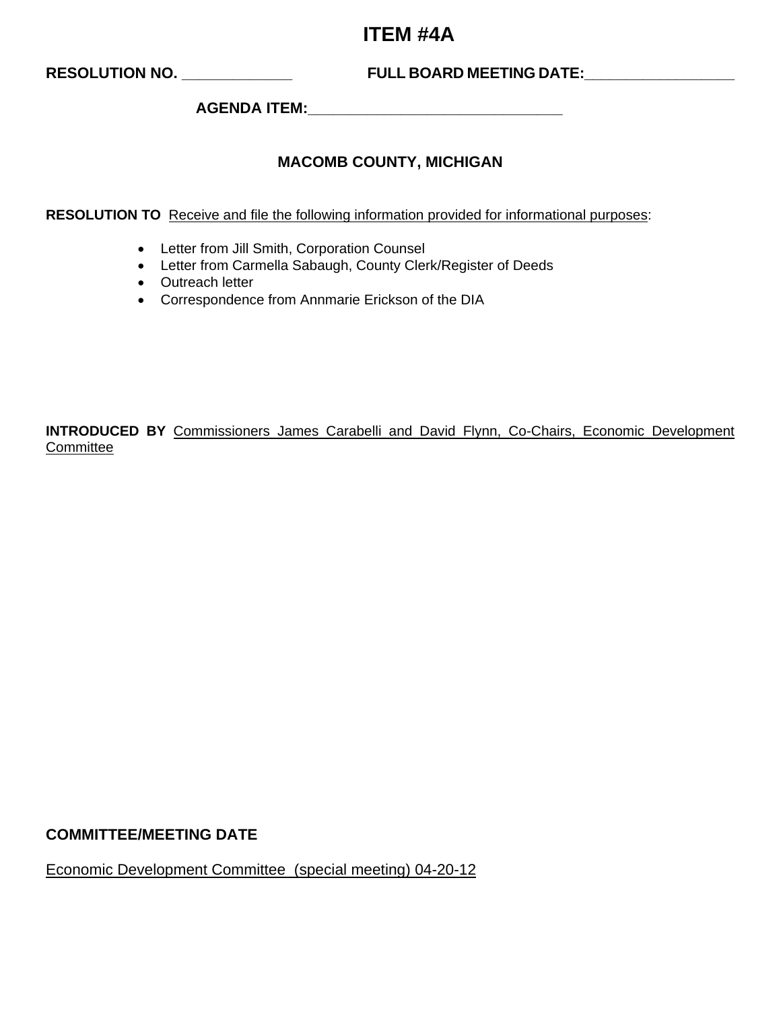# **ITEM #4A**

**RESOLUTION NO. \_\_\_\_\_\_\_\_\_\_\_\_\_ FULL BOARD MEETING DATE:\_\_\_\_\_\_\_\_\_\_\_\_\_\_\_\_\_\_** 

**AGENDA ITEM:\_\_\_\_\_\_\_\_\_\_\_\_\_\_\_\_\_\_\_\_\_\_\_\_\_\_\_\_\_\_** 

### **MACOMB COUNTY, MICHIGAN**

**RESOLUTION TO** Receive and file the following information provided for informational purposes:

- Letter from Jill Smith, Corporation Counsel
- Letter from Carmella Sabaugh, County Clerk/Register of Deeds
- Outreach letter
- Correspondence from Annmarie Erickson of the DIA

**INTRODUCED BY** Commissioners James Carabelli and David Flynn, Co-Chairs, Economic Development **Committee** 

#### **COMMITTEE/MEETING DATE**

Economic Development Committee (special meeting) 04-20-12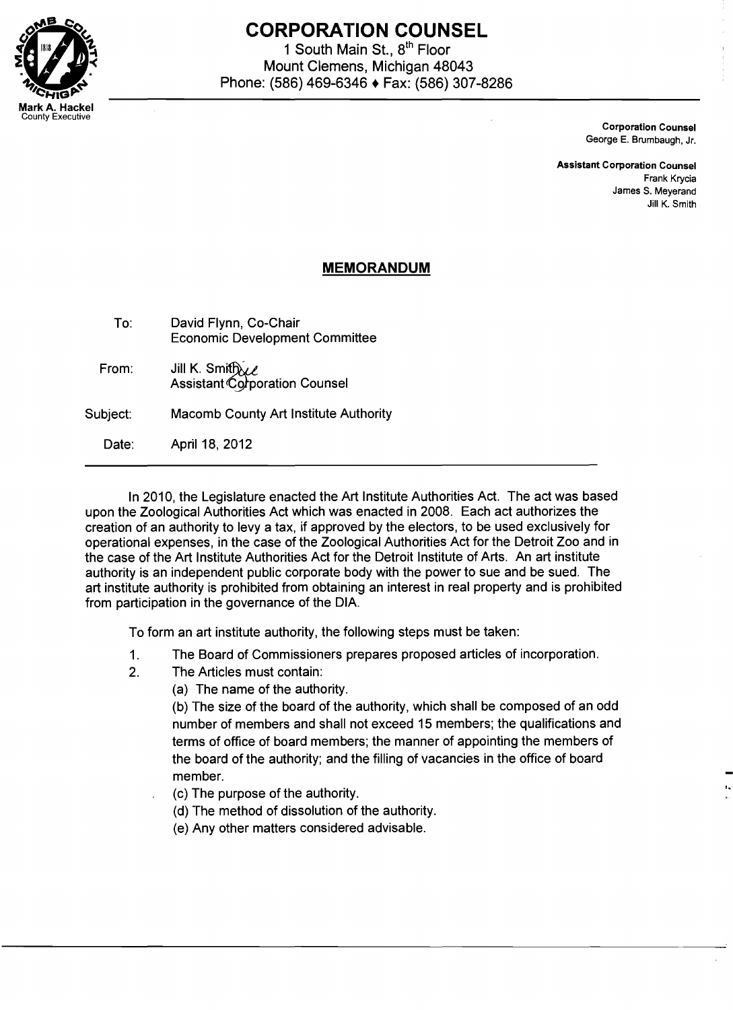

# **CORPORATION COUNSEL**

1 South Main St., 8<sup>th</sup> Floor Mount Clemens, Michigan 48043 Phone: (586) 469-6346 ♦ Fax: (586) 307-8286

> Corporation Counsel George E. Brumbaugh, Jr.

Assistant Corporation Counsel Frank Krycia James S. Meyerand Jill K. Smith

## **MEMORANDUM**

| To:      | David Flynn, Co-Chair<br><b>Economic Development Committee</b> |
|----------|----------------------------------------------------------------|
| From:    | Jill K. Smith 2<br>Assistant Corporation Counsel               |
| Subject: | Macomb County Art Institute Authority                          |

Date: April 18, 2012

In 2010, the Legislature enacted the Art Institute Authorities Act. The act was based upon the Zoological Authorities Act which was enacted in 2008. Each act authorizes the creation of an authority to levy a tax, if approved by the electors, to be used exclusively for operational expenses, in the case of the Zoological Authorities Act for the Detroit Zoo and in the case of the Art Institute Authorities Act for the Detroit Institute of Arts. An art institute authority is an independent public corporate body with the power to sue and be sued. The art institute authority is prohibited from obtaining an interest in real property and is prohibited from participation in the governance of the DIA.

To form an art institute authority, the following steps must be taken:

- 1. The Board of Commissioners prepares proposed articles of incorporation.
- 2. The Articles must contain:
	- (a) The name of the authority.

(b) The size of the board of the authority, which shall be composed of an odd number of members and shall not exceed 15 members; the qualifications and terms of office of board members; the manner of appointing the members of the board of the authority; and the filling of vacancies in the office of board member.

(c) The purpose of the authority.

(d) The method of dissolution of the authority.

(e) Any other matters considered advisable.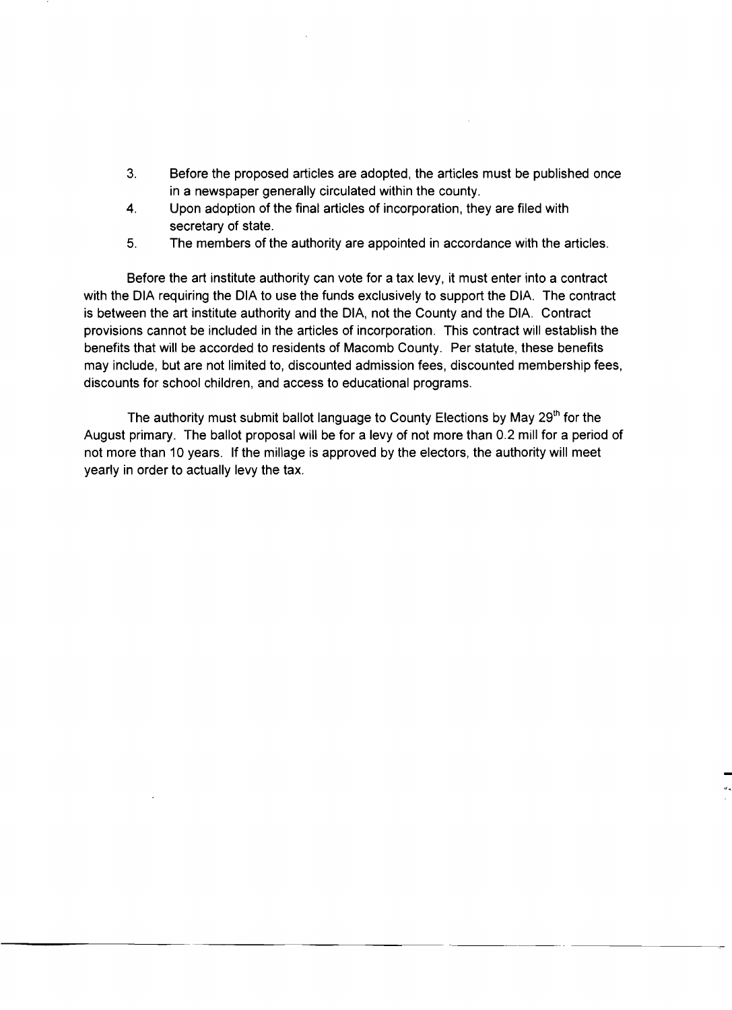- 3. Before the proposed articles are adopted, the articles must be published once in a newspaper generally circulated within the county.
- 4. Upon adoption of the final articles of incorporation, they are filed with secretary of state.
- 5. The members of the authority are appointed in accordance with the articles.

Before the art institute authority can vote for a tax levy, it must enter into a contract with the DIA requiring the DIA to use the funds exclusively to support the DIA. The contract is between the art institute authority and the DIA, not the County and the DIA. Contract provisions cannot be included in the articles of incorporation. This contract will establish the benefits that will be accorded to residents of Macomb County. Per statute, these benefits may include, but are not limited to, discounted admission fees, discounted membership fees, discounts for school children, and access to educational programs.

The authority must submit ballot language to County Elections by May 29<sup>th</sup> for the August primary. The ballot proposal will be for a levy of not more than 0.2 mill for a period of not more than 10 years. If the millage is approved by the electors, the authority will meet yearly in order to actually levy the tax.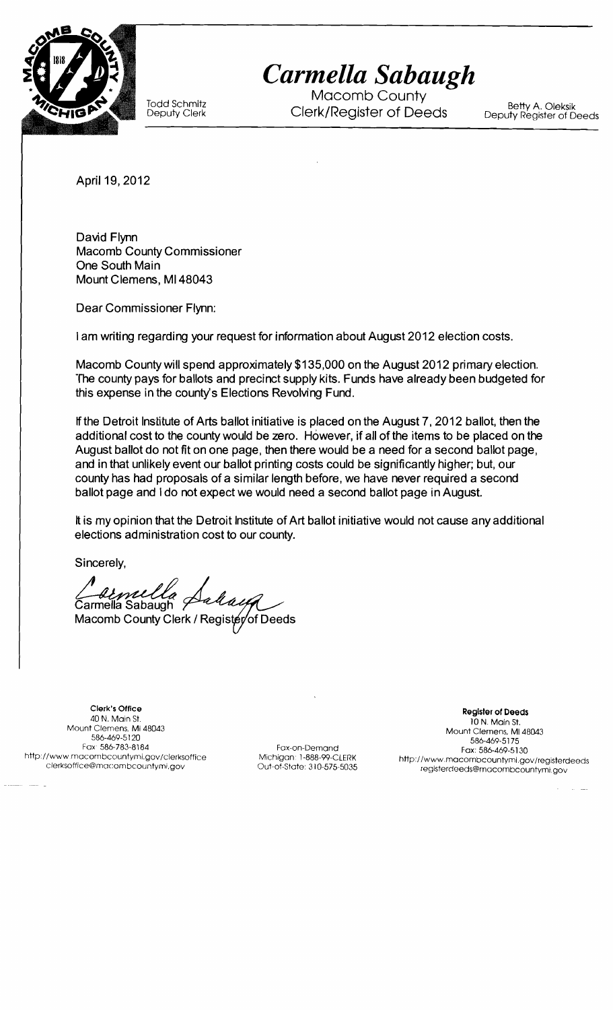

*Carmella Sabaugh* 

Macomb County Todd Schmitz Betty A. Oleksik Deputy Clerk Clerk/Register of Deeds Deputy Register of Deeds

April 19, 2012

David Flynn Macomb County Commissioner One South Main Mount Clemens, MI48043

Dear Commissioner Flynn:

I am writing regarding your request for information about August 2012 election costs.

Macomb County will spend approximately \$135,000 on the August 2012 primary election. The county pays for ballots and precinct supply kits. Funds have already been budgeted for this expense in the county's Elections Revolving Fund.

If the Detroit Institute of Arts ballot initiative is placed on the August 7.2012 ballot, then the additional cost to the county would be zero. However, if all of the items to be placed on the August ballot do not fit on one page, then there would be a need for a second ballot page, and in that unlikely event our ballot printing costs could be significantly higher; but, our county has had proposals of a similar length before, we have never required a second ballot page and I do not expect we would need a second ballot page in August.

It is my opinion that the Detroit Institute of Art ballot initiative would not cause any additional elections administration cost to our county.

Sincerely,

'armella Sabaugh Macomb County Clerk / Regis

Clerk's Office **Register of Deeds**<br>40 N. Main St. **Register of Deeds**<br>10 N. Main St. **Register of Deeds** 40 N. Main St. 10 N. Main St, Mount Clemens, MI 48043 Mount Clemens. MI 48043 586-469-5120 586-469-51 75 586-469-5175<br>Fax: 586-783-8184 Fox-on-Demand Fax: 586-783-8184 Fax: 586-783-8184<br>http://www.macombcountymi.gov/clerksoffice Michigan: 1-888-99-CLERK http://www.macombcountymi.gov/clerksoffice

www.macombcountymLgov/clerksoffice Michigan: 1-888-99-CLERK http://www.macombcountymi.gov/registerdeeds/<br>Clerksoffice@macombcountymLgov clerksoffice@macombcountymi.gov Out-of-State: 310-575-5035 registerdeeds@macombcountym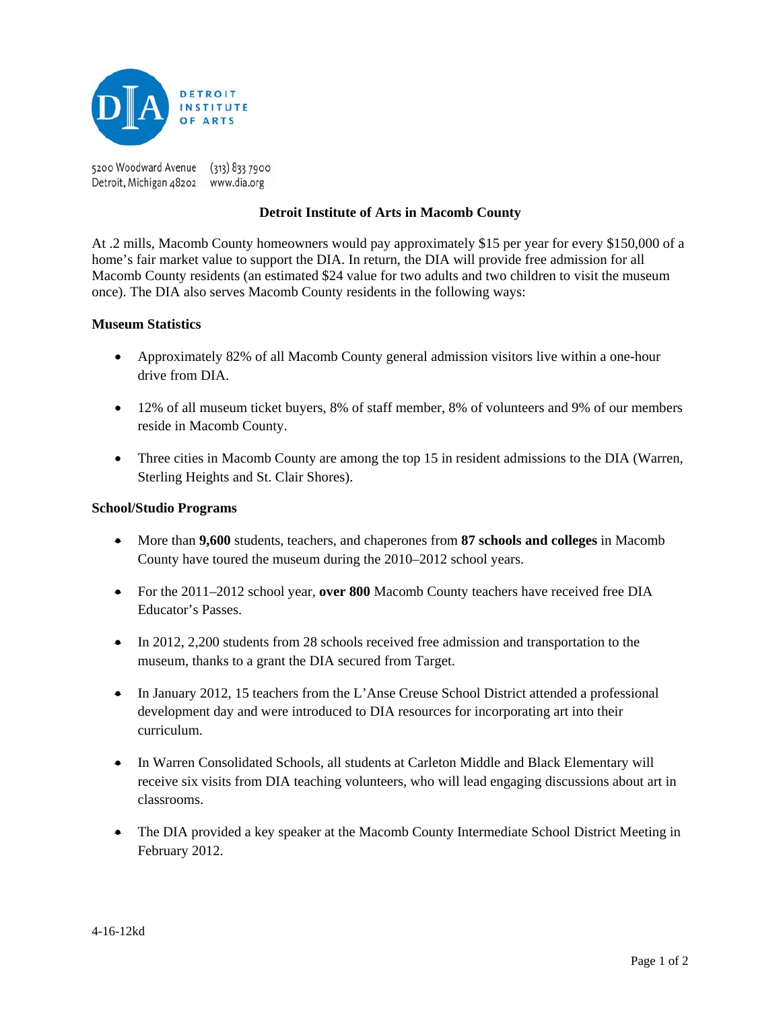

5200 Woodward Avenue (313) 833 7900 Detroit, Michigan 48202 www.dia.org

#### **Detroit Institute of Arts in Macomb County**

At .2 mills, Macomb County homeowners would pay approximately \$15 per year for every \$150,000 of a home's fair market value to support the DIA. In return, the DIA will provide free admission for all Macomb County residents (an estimated \$24 value for two adults and two children to visit the museum once). The DIA also serves Macomb County residents in the following ways:

#### **Museum Statistics**

- Approximately 82% of all Macomb County general admission visitors live within a one-hour drive from DIA.
- 12% of all museum ticket buyers, 8% of staff member, 8% of volunteers and 9% of our members reside in Macomb County.
- Three cities in Macomb County are among the top 15 in resident admissions to the DIA (Warren, Sterling Heights and St. Clair Shores).

#### **School/Studio Programs**

- More than **9,600** students, teachers, and chaperones from **87 schools and colleges** in Macomb County have toured the museum during the 2010–2012 school years.
- For the 2011–2012 school year, **over 800** Macomb County teachers have received free DIA Educator's Passes.
- In 2012, 2,200 students from 28 schools received free admission and transportation to the museum, thanks to a grant the DIA secured from Target.
- In January 2012, 15 teachers from the L'Anse Creuse School District attended a professional development day and were introduced to DIA resources for incorporating art into their curriculum.
- In Warren Consolidated Schools, all students at Carleton Middle and Black Elementary will receive six visits from DIA teaching volunteers, who will lead engaging discussions about art in classrooms.
- The DIA provided a key speaker at the Macomb County Intermediate School District Meeting in February 2012.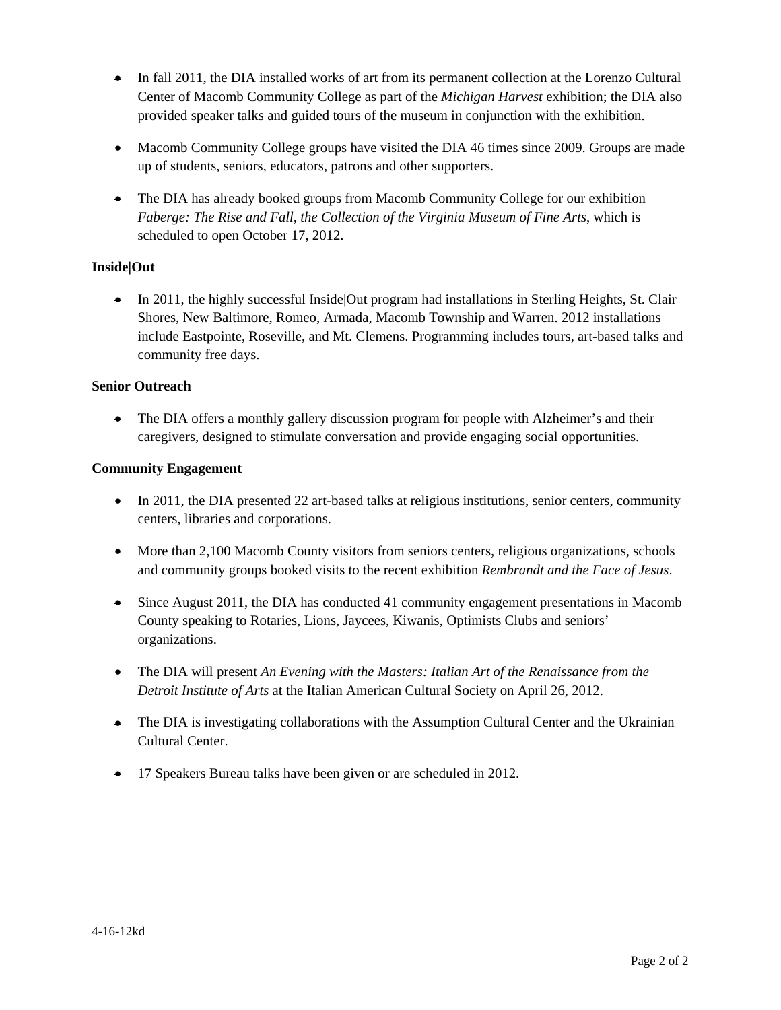- In fall 2011, the DIA installed works of art from its permanent collection at the Lorenzo Cultural Center of Macomb Community College as part of the *Michigan Harvest* exhibition; the DIA also provided speaker talks and guided tours of the museum in conjunction with the exhibition.
- Macomb Community College groups have visited the DIA 46 times since 2009. Groups are made up of students, seniors, educators, patrons and other supporters.
- The DIA has already booked groups from Macomb Community College for our exhibition *Faberge: The Rise and Fall, the Collection of the Virginia Museum of Fine Arts*, which is scheduled to open October 17, 2012.

#### **Inside|Out**

• In 2011, the highly successful Inside Out program had installations in Sterling Heights, St. Clair Shores, New Baltimore, Romeo, Armada, Macomb Township and Warren. 2012 installations include Eastpointe, Roseville, and Mt. Clemens. Programming includes tours, art-based talks and community free days.

#### **Senior Outreach**

• The DIA offers a monthly gallery discussion program for people with Alzheimer's and their caregivers, designed to stimulate conversation and provide engaging social opportunities.

#### **Community Engagement**

- In 2011, the DIA presented 22 art-based talks at religious institutions, senior centers, community centers, libraries and corporations.
- More than 2,100 Macomb County visitors from seniors centers, religious organizations, schools and community groups booked visits to the recent exhibition *Rembrandt and the Face of Jesus*.
- Since August 2011, the DIA has conducted 41 community engagement presentations in Macomb County speaking to Rotaries, Lions, Jaycees, Kiwanis, Optimists Clubs and seniors' organizations.
- The DIA will present *An Evening with the Masters: Italian Art of the Renaissance from the Detroit Institute of Arts* at the Italian American Cultural Society on April 26, 2012.
- The DIA is investigating collaborations with the Assumption Cultural Center and the Ukrainian Cultural Center.
- 17 Speakers Bureau talks have been given or are scheduled in 2012.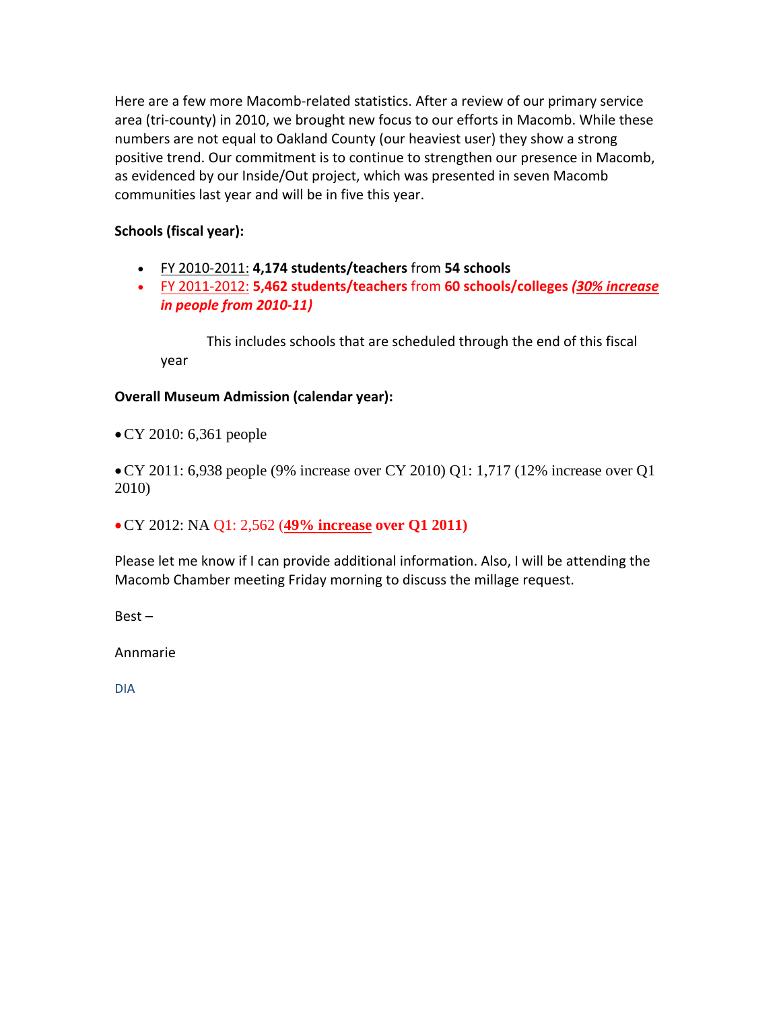Here are a few more Macomb-related statistics. After a review of our primary service area (tri‐county) in 2010, we brought new focus to our efforts in Macomb. While these numbers are not equal to Oakland County (our heaviest user) they show a strong positive trend. Our commitment is to continue to strengthen our presence in Macomb, as evidenced by our Inside/Out project, which was presented in seven Macomb communities last year and will be in five this year.

## **Schools (fiscal year):**

- FY 2010‐2011: **4,174 students/teachers** from **54 schools**
- FY 2011‐2012: **5,462 students/teachers** from **60 schools/colleges** *(30% increase in people from 2010‐11)*

This includes schools that are scheduled through the end of this fiscal year

#### **Overall Museum Admission (calendar year):**

•CY 2010: 6,361 people

•CY 2011: 6,938 people (9% increase over CY 2010) Q1: 1,717 (12% increase over Q1 2010)

•CY 2012: NA Q1: 2,562 (**49% increase over Q1 2011)**

Please let me know if I can provide additional information. Also, I will be attending the Macomb Chamber meeting Friday morning to discuss the millage request.

Best –

Annmarie

DIA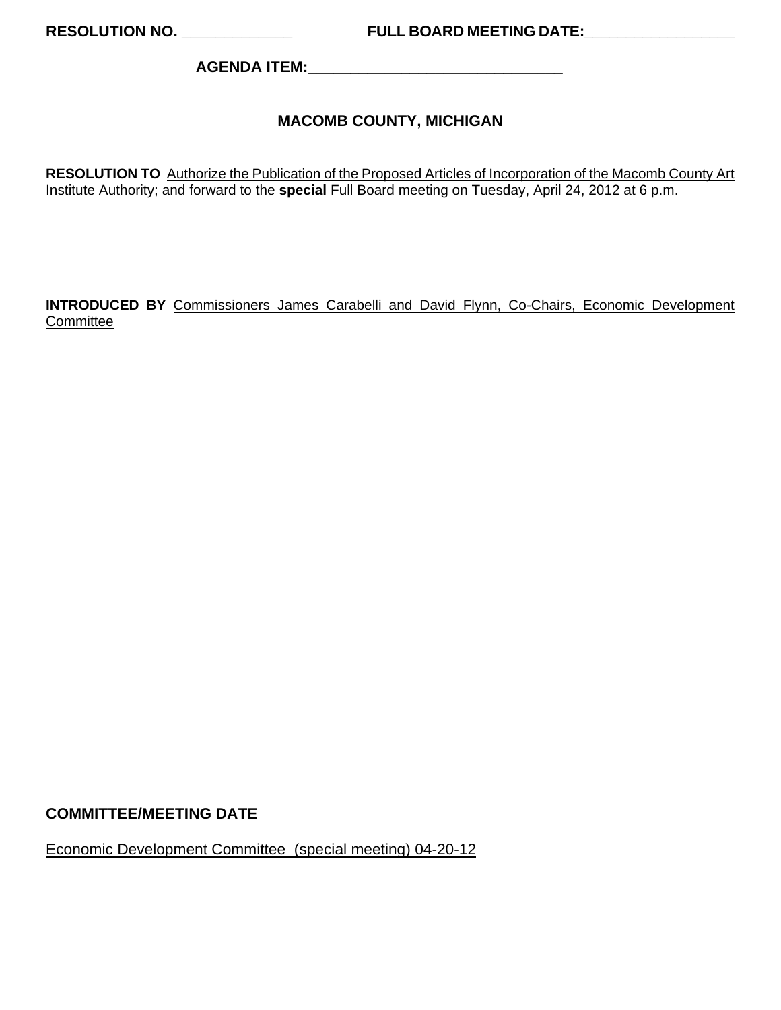**AGENDA ITEM:\_\_\_\_\_\_\_\_\_\_\_\_\_\_\_\_\_\_\_\_\_\_\_\_\_\_\_\_\_\_** 

## **MACOMB COUNTY, MICHIGAN**

**RESOLUTION TO** Authorize the Publication of the Proposed Articles of Incorporation of the Macomb County Art Institute Authority; and forward to the **special** Full Board meeting on Tuesday, April 24, 2012 at 6 p.m.

**INTRODUCED BY** Commissioners James Carabelli and David Flynn, Co-Chairs, Economic Development **Committee** 

#### **COMMITTEE/MEETING DATE**

Economic Development Committee (special meeting) 04-20-12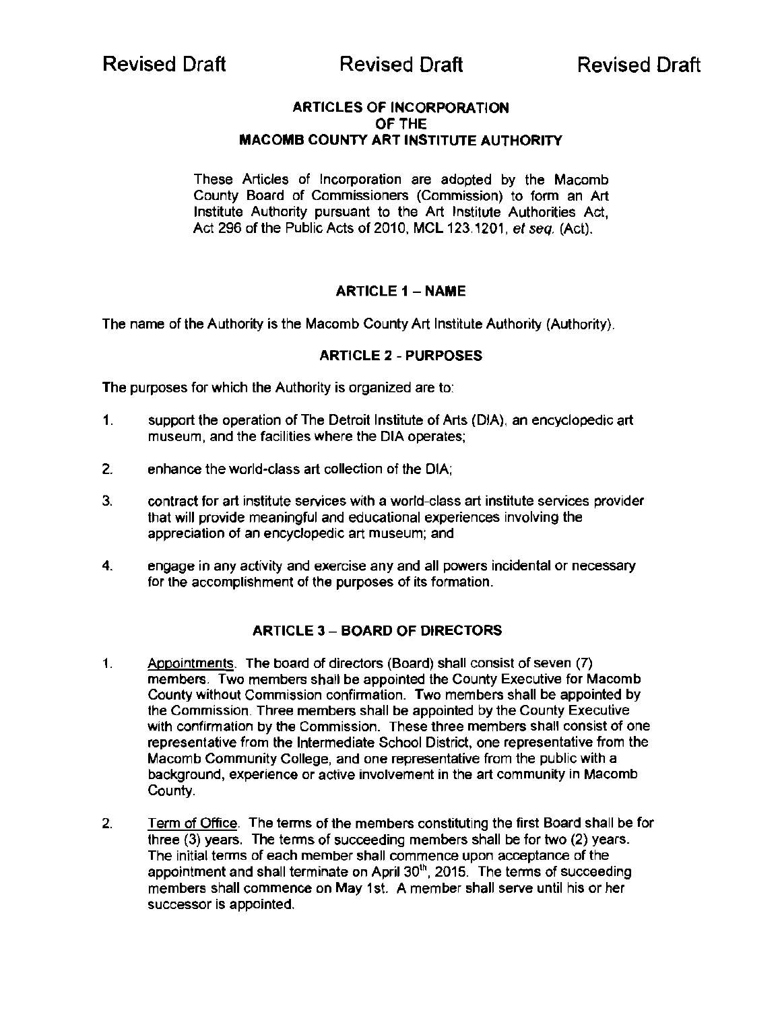#### ARTICLES OF INCORPORATION OF THE MACOMB COUNTY ART INSTITUTE AUTHORITY

These Articles of Incorporation are adopted by the Macomb County Board of Commissioners (Commission) to form an Art Institute Authority pursuant to the Art Institute Authorities Act, Act 296 of the Public Acts of 2010, MCL 123.1201, et seq. (Act).

#### **ARTICLE 1 - NAME**

The name of the Authority is the Macomb County Art Institute Authority (Authority).

#### ARTICLE 2 - PURPOSES

The purposes for which the Authority is organized are to:

- 1. support the operation of The Detroit Institute of Arts (DIA), an encyclopedic art museum, and the facilities where the DIA operates;
- 2. enhance the world-class art collection of the DIA;
- 3. contract for art institute services with a world-class art institute services provider that will provide meaningful and educational experiences involving the appreciation of an encyclopedic art museum; and
- 4. engage in any activity and exercise any and all powers incidental or necessary for the accomplishment of the purposes of its formation.

#### **ARTICLE 3 - BOARD OF DIRECTORS**

- 1. Appointments. The board of directors (Board) shall consist of seven (7) members. Two members shall be appointed the County Executive for Macomb County without Commission confirmation. Two members shall be appointed by the Commission. Three members shall be appointed by the County Executive with confirmation by the Commission. These three members shall consist of one representative from the Intermediate School District, one representative from the Macomb Community College, and one representative from the public with a background, experience or active involvement in the art community in Macomb County.
- 2. Term of Office. The terms of the members constituting the first Board shall be for three (3) years. The terms of succeeding members shall be for two (2) years. The initial terms of each member shall commence upon acceptance of the appointment and shall terminate on April  $30<sup>th</sup>$ , 2015. The terms of succeeding members shall commence on May 1st. A member shall serve until his or her successor is appointed.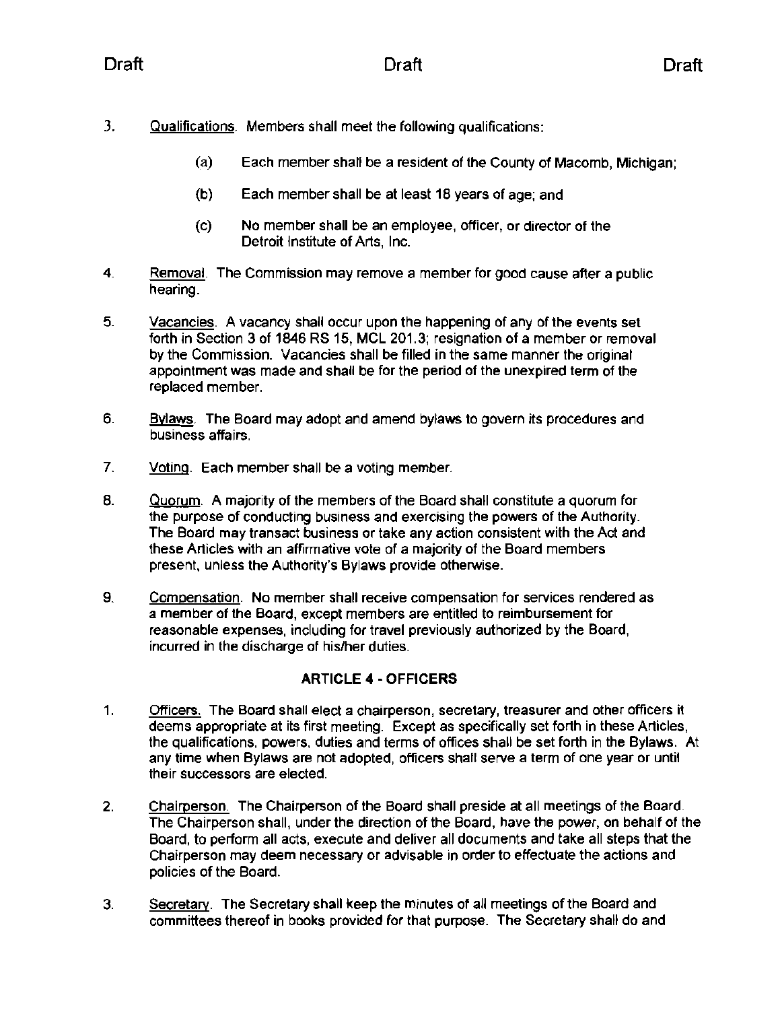- 3. Qualifications. Members shall meet the following qualifications:
	- (a) Each member shall be a resident of the County of Macomb, Michigan;
	- (b) Each member shall be at least 18 years of age; and
	- (c) No member shall be an employee, officer, or director of the Detroit Institute of Arts, Inc.
- 4. Removal. The Commission may remove a member for good cause after a public hearing.
- 5. Vacancies. A vacancy shall occur upon the happening of any of the events set forth in Section 3 of 1846 RS 15, MCL 201.3; resignation of a member or removal by the Commission. Vacancies shall be filled in the same manner the original appointment was made and shall be for the period of the unexpired term of the replaced member.
- 6. Bylaws. The Board may adopt and amend bylaws to govern its procedures and business affairs.
- 7. Voting. Each member shall be a voting member.
- 8. Quorum. A majority of the members of the Board shall constitute a quorum for the purpose of conducting business and exercising the powers of the Authority. The Board may transact business or take any action consistent with the Act and these Articles with an affirmative vote of a majority of the Board members present, unless the Authority's Bylaws provide otherwise.
- 9. Compensation. No member shall receive compensation for services rendered as a member of the Board, except members are entitled to reimbursement for reasonable expenses, including for travel previously authorized by the Board, incurred in the discharge of his/her duties.

## ARTICLE 4 - OFFICERS

- 1. Officers. The Board shall elect a chairperson, secretary, treasurer and other officers it deems appropriate at its first meeting. Except as specifically set forth in these Articles, the qualifications, powers, duties and terms of offices shall be set forth in the Bylaws. At any time when Bylaws are not adopted, officers shall serve a term of one year or until their successors are elected.
- 2. Chairperson. The Chairperson of the Board shall preside at all meetings of the Board. The Chairperson shall, under the direction of the Board, have the power, on behalf of the Board, to perform all acts, execute and deliver all documents and take all steps that the Chairperson may deem necessary or advisable in order to effectuate the actions and policies of the Board.
- 3. Secretary. The Secretary shall keep the minutes of all meetings of the Board and committees thereof in books provided for that purpose. The Secretary shall do and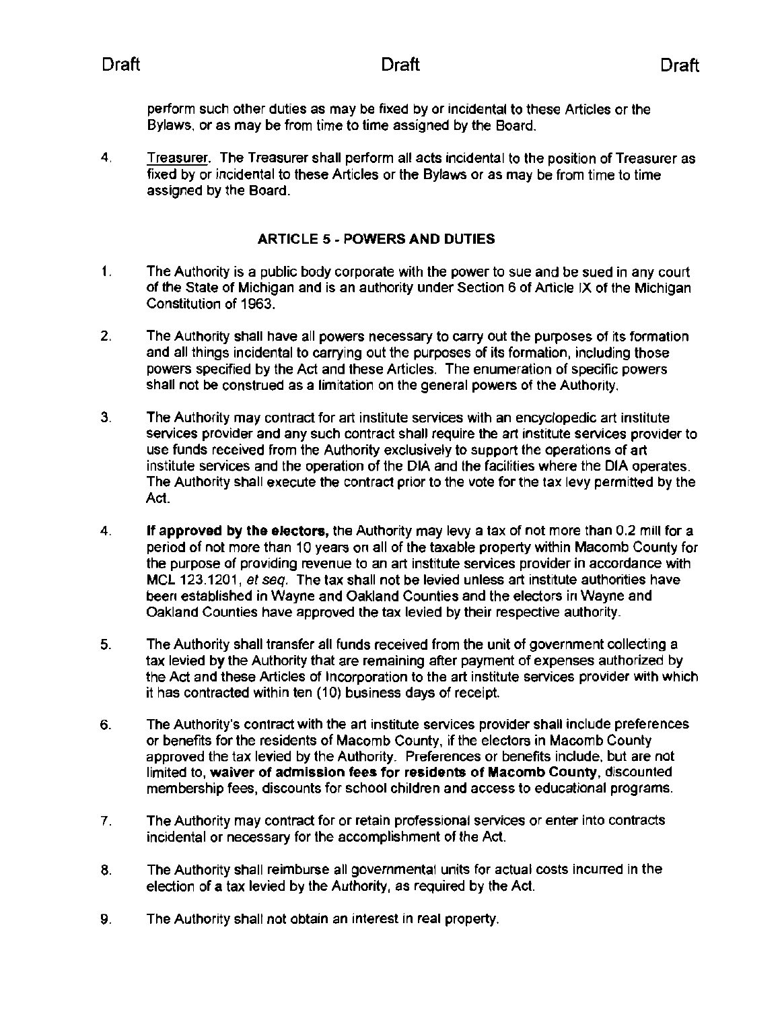perform such other duties as may be fixed by or incidental to these Articles or the Bylaws, or as may be from time to time assigned by the Board.

4. Treasurer. The Treasurer shall perform all acts incidental to the position of Treasurer as fixed by or incidental to these Articles or the Bylaws or as may be from time to time assigned by the Board.

#### ARTICLE 5 - POWERS AND DUTIES

- 1. The Authority is a public body corporate with the power to sue and be sued in any court of the State of Michigan and is an authority under Section 6 of Article IX of the Michigan Constitution of 1963.
- 2. The Authority shall have all powers necessary to carry out the purposes of its formation and all things incidental to carrying out the purposes of its formation, including those powers specified by the Act and these Articles. The enumeration of specific powers shall not be construed as a limitation on the general powers of the Authority.
- 3. The Authority may contract for art institute services with an encyclopedic art institute services provider and any such contract shall require the art institute services provider to use funds received from the Authority exclusively to support the operations of art institute services and the operation of the DIA and the facilities where the DIA operates. The Authority shall execute the contract prior to the vote for the tax levy permitted by the Act.
- 4. If approved by the electors, the Authority may levy a tax of not more than 0.2 mill for a period of not more than 10 years on all of the taxable property within Macomb County for the purpose of providing revenue to an art institute services provider in accordance with MCl 123.1201, *et* seq. The tax shall not be levied unless art institute authorities have been established in Wayne and Oakland Counties and the electors in Wayne and Oakland Counties have approved the tax levied by their respective authority.
- 5. The Authority shall transfer all funds received from the unit of government collecting a tax levied by the Authority that are remaining after payment of expenses authorized by the Act and these Articles of Incorporation to the art institute services provider with which it has contracted within ten (10) business days of receipt.
- 6. The Authority's contract with the art institute services provider shall include preferences or benefits for the residents of Macomb County, if the electors in Macomb County approved the tax levied by the Authority. Preferences or benefits include, but are not limited to, waiver of admission fees for residents of Macomb County, discounted membership fees, discounts for school children and access to educational programs.
- 7. The Authority may contract for or retain professional services or enter into contracts incidental or necessary for the accomplishment of the Act.
- 8. The Authority shall reimburse all governmental units for actual costs incurred in the election of a tax levied by the Authority, as required by the Act.
- 9. The Authority shall not obtain an interest in real property.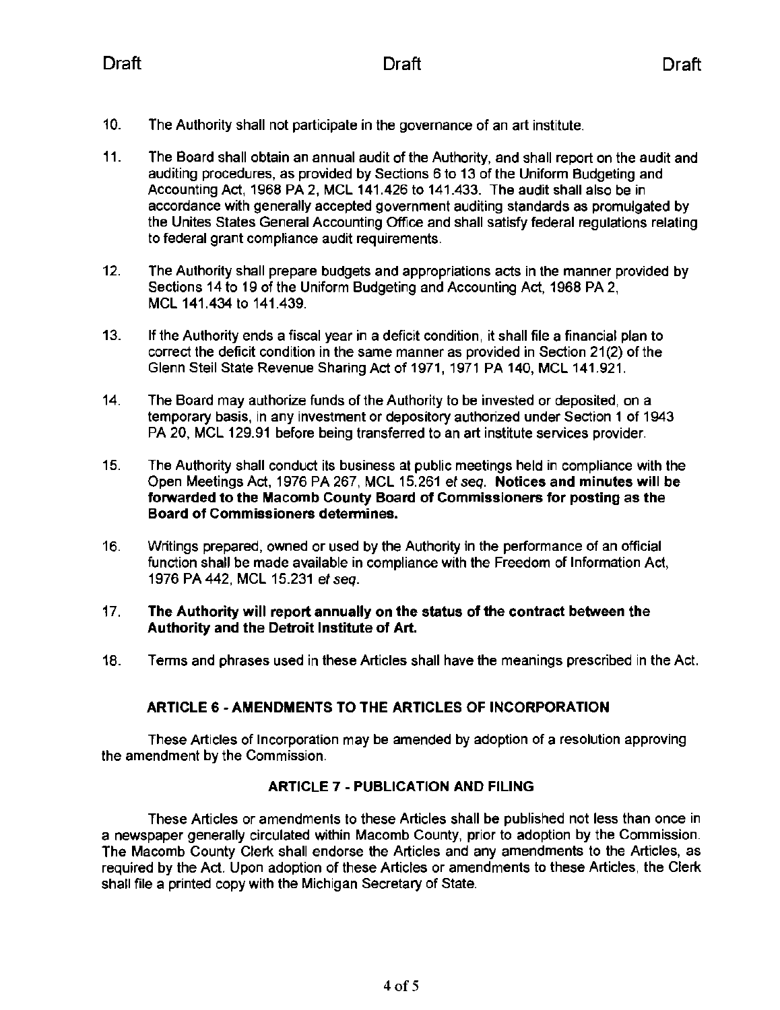- 10. The Authority shall not participate in the governance of an art institute.
- 11. The Board shall obtain an annual audit of the Authority, and shall report on the audit and auditing procedures, as provided by Sections 6 to 13 of the Uniform Budgeting and Accounting Act, 1968 PA 2, MCl 141.426 to 141.433. The audit shall also be in accordance with generally accepted government auditing standards as promulgated by the Unites States General Accounting Office and shall satisfy federal regulations relating to federal grant compliance audit requirements.
- 12. The Authority shall prepare budgets and appropriations acts in the manner provided by Sections 14 to 19 of the Uniform Budgeting and Accounting Act, 1968 PA 2, MCl 141.434 to 141.439.
- 13. If the Authority ends a fiscal year in a deficit condition, it shall file a financial plan to correct the deficit condition in the same manner as provided in Section 21(2) of the Glenn Steil State Revenue Sharing Act of 1971, 1971 PA 140, MCl 141.921.
- 14. The Board may authorize funds of the Authority to be invested or deposited, on a temporary basis, in any investment or depository authorized under Section 1 of 1943 PA 20, MCl 129.91 before being transferred to an art institute services provider.
- 15. The Authority shall conduct its business at public meetings held in compliance with the Open Meetings Act, 1976 PA 267, MCl 15.261 ef seq. Notices and minutes will be forwarded to the Macomb County Board of Commissioners for posting as the Board of Commissioners determines.
- 16. Writings prepared, owned or used by the Authority in the performance of an official function shall be made available in compliance with the Freedom of Information Act, 1976 PA 442, MCl 15.231 ef seq.

#### 17. The Authority will report annually on the status of the contract between the Authority and the Detroit Institute of Art.

18. Terms and phrases used in these Articles shall have the meanings prescribed in the Act.

#### ARTICLE 6· AMENDMENTS TO THE ARTICLES OF INCORPORATION

These Articles of Incorporation may be amended by adoption of a resolution approving the amendment by the Commission.

#### ARTICLE 7 - PUBLICATION AND FILING

These Articles or amendments to these Articles shall be published not less than once in a newspaper generally circulated within Macomb County, prior to adoption by the Commission. The Macomb County Clerk. shall endorse the Articles and any amendments to the Articles, as required by the Act. Upon adoption of these Articles or amendments to these Articles, the Clerk. shall file a printed copy with the Michigan Secretary of State.